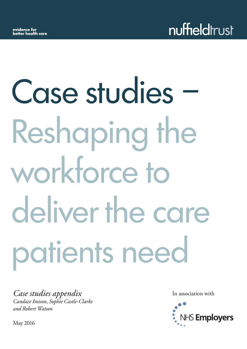# Case studies – Reshaping the workforce to deliver the care patients need

*Case studies appendix Candace Imison, Sophie Castle-Clarke and Robert Watson*

In association with



May 2016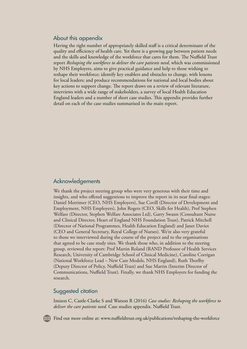# About this appendix

Having the right number of appropriately skilled staff is a critical determinant of the quality and efficiency of health care. Yet there is a growing gap between patient needs and the skills and knowledge of the workforce that cares for them. The Nuffield Trust report *[Reshaping the workforce to deliver the care patients need](www.nuffieldtrust.org.uk/publications/reshaping-the-workforce)*, which was commissioned by NHS Employers, aims to give practical guidance and help to those wishing to reshape their workforce; identify key enablers and obstacles to change, with lessons for local leaders; and produce recommendations for national and local bodies about key actions to support change. The report draws on a review of relevant literature, interviews with a wide range of stakeholders, a survey of local Health Education England leaders and a number of short case studies. This appendix provides further detail on each of the case studies summarised in the main report.

# Acknowledgements

We thank the project steering group who were very generous with their time and insights, and who offered suggestions to improve the report in its near final stages: Daniel Mortimer (CEO, NHS Employers), Sue Covill (Director of Development and Employment, NHS Employers), John Rogers (CEO, Skills for Health), Prof Stephen Welfare (Director, Stephen Welfare Associates Ltd), Garry Swann (Consultant Nurse and Clinical Director, Heart of England NHS Foundation Trust), Patrick Mitchell (Director of National Programmes, Health Education England) and Janet Davies (CEO and General Secretary, Royal College of Nurses). We're also very grateful to those we interviewed during the course of the project and to the organisations that agreed to be case study sites. We thank those who, in addition to the steering group, reviewed the report: Prof Martin Roland (RAND Professor of Health Services Research, University of Cambridge School of Clinical Medicine), Caroline Corrigan (National Workforce Lead – New Care Models, NHS England), Ruth Thorlby (Deputy Director of Policy, Nuffield Trust) and Sue Martin (Interim Director of Communications, Nuffield Trust). Finally, we thank NHS Employers for funding the research.

# Suggested citation

Imison C, Castle-Clarke S and Watson R (2016) *Case studies: Reshaping the workforce to deliver the care patients need*. Case studies appendix. Nuffield Trust.



Find out more online at: <www.nuffieldtrust.org.uk/publications/reshaping-the-workforce>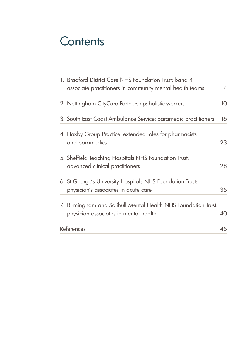# **Contents**

| 1. Bradford District Care NHS Foundation Trust: band 4<br>associate practitioners in community mental health teams | $\overline{4}$ |
|--------------------------------------------------------------------------------------------------------------------|----------------|
|                                                                                                                    |                |
| 2. Nottingham CityCare Partnership: holistic workers                                                               | 10             |
| 3. South East Coast Ambulance Service: paramedic practitioners                                                     | 16             |
| 4. Haxby Group Practice: extended roles for pharmacists                                                            |                |
| and paramedics                                                                                                     | 23             |
| 5. Sheffield Teaching Hospitals NHS Foundation Trust:                                                              |                |
| advanced clinical practitioners                                                                                    | 28             |
| 6. St George's University Hospitals NHS Foundation Trust:                                                          |                |
| physician's associates in acute care                                                                               | 35             |
| 7. Birmingham and Solihull Mental Health NHS Foundation Trust:                                                     |                |
| physician associates in mental health                                                                              | 40             |
| References                                                                                                         | 45             |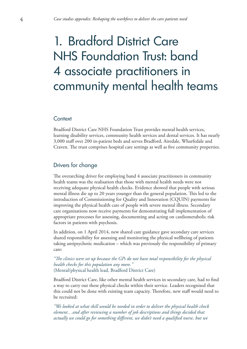# <span id="page-3-0"></span>1. Bradford District Care NHS Foundation Trust: band 4 associate practitioners in community mental health teams

#### **Context**

Bradford District Care NHS Foundation Trust provides mental health services, learning disability services, community health services and dental services. It has nearly 3,000 staff over 200 in-patient beds and serves Bradford, Airedale, Wharfedale and Craven. The trust comprises hospital care settings as well as five community properties.

# Drivers for change

The overarching driver for employing band 4 associate practitioners in community health teams was the realisation that those with mental health needs were not receiving adequate physical health checks. Evidence showed that people with serious mental illness die up to 20 years younger than the general population. This led to the introduction of Commissioning for Quality and Innovation (CQUIN) payments for improving the physical health care of people with severe mental illness. Secondary care organisations now receive payments for demonstrating full implementation of appropriate processes for assessing, documenting and acting on cardiometabolic risk factors in patients with psychosis.

In addition, on 1 April 2014, new shared care guidance gave secondary care services shared responsibility for assessing and monitoring the physical wellbeing of patients taking antipsychotic medication – which was previously the responsibility of primary care:

*"The clinics were set up because the GPs do not have total responsibility for the physical health checks for this population any more."*  (Mental/physical health lead, Bradford District Care)

Bradford District Care, like other mental health services in secondary care, had to find a way to carry out these physical checks within their service. Leaders recognised that this could not be done with existing team capacity. Therefore, new staff would need to be recruited:

*"We looked at what skill would be needed in order to deliver the physical health check element…and after reviewing a number of job descriptions and things decided that actually we could go for something different, we didn't need a qualified nurse, but we*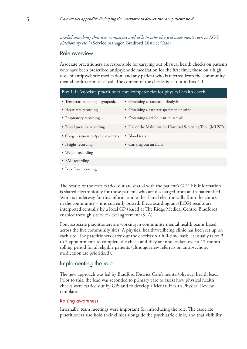*needed somebody that was competent and able to take physical assessments such as ECG, phlebotomy etc."* (Service manager, Bradford District Care)

# Role overview

Associate practitioners are responsible for carrying out physical health checks on patients who have been prescribed antipsychotic medication for the first time; those on a high dose of antipsychotic medication; and any patient who is referred from the community mental health team caseload. The content of the checks is set out in Box 1.1.

| Box 1.1: Associate practitioner core competencies for physical health check |                                                           |  |
|-----------------------------------------------------------------------------|-----------------------------------------------------------|--|
| • Temperature taking - tympanic                                             | • Obtaining a standard urinalysis                         |  |
| • Heart rate recording                                                      | • Obtaining a catheter specimen of urine                  |  |
| • Respiratory recording                                                     | • Obtaining a 24-hour urine sample                        |  |
| • Blood pressure recording                                                  | • Use of the Malnutrition Universal Screening Tool (MUST) |  |
| • Oxygen saturation/pulse oximetry                                          | • Blood tests                                             |  |
| • Height recording                                                          | • Carrying out an ECG                                     |  |
| • Weight recording                                                          |                                                           |  |
| • BMI recording                                                             |                                                           |  |
| • Peak flow recording                                                       |                                                           |  |

The results of the tests carried out are shared with the patient's GP. This information is shared electronically for those patients who are discharged from an in-patient bed. Work is underway for this information to be shared electronically from the clinics in the community – it is currently posted. Electrocardiogram (ECG) results are interpreted centrally by a local GP (based at The Ridge Medical Centre, Bradford), enabled through a service-level agreement (SLA).

Four associate practitioners are working in community mental health teams based across the five community sites. A physical health/wellbeing clinic has been set up on each site. The practitioners carry out the checks on a full-time basis. It usually takes 2 to 3 appointments to complete the check and they are undertaken over a 12-month rolling period for all eligible patients (although new referrals on antipsychotic medication are prioritised).

### Implementing the role

The new approach was led by Bradford District Care's mental/physical health lead. Prior to this, the lead was seconded to primary care to assess how physical health checks were carried out by GPs and to develop a Mental Health Physical Review template.

#### Raising awareness

Internally, team meetings were important for introducing the role. The associate practitioners also hold their clinics alongside the psychiatric clinic, and that visibility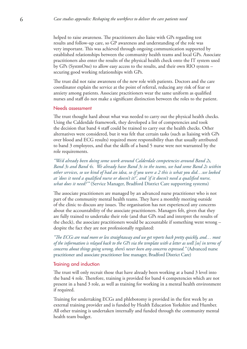helped to raise awareness. The practitioners also liaise with GPs regarding test results and follow-up care, so GP awareness and understanding of the role was very important. This was achieved through ongoing communication supported by established relationships between the community health teams and local GPs. Associate practitioners also enter the results of the physical health check onto the IT system used by GPs (SystmOne) to allow easy access to the results, and their own RIO system – securing good working relationships with GPs.

The trust did not raise awareness of the new role with patients. Doctors and the care coordinator explain the service at the point of referral, reducing any risk of fear or anxiety among patients. Associate practitioners wear the same uniform as qualified nurses and staff do not make a significant distinction between the roles to the patient.

#### Needs assessment

The trust thought hard about what was needed to carry out the physical health checks. Using the Calderdale framework, they developed a list of competencies and took the decision that band 4 staff could be trained to carry out the health checks. Other alternatives were considered, but it was felt that certain tasks (such as liaising with GPs over blood and ECG results) required more responsibility than that usually attributed to band 3 employees, and that the skills of a band 5 nurse were not warranted by the role requirements.

*"We'd already been doing some work around Calderdale competencies around Band 2s, Band 3s and Band 4s. We already have Band 3s in the teams, we had some Band 2s within other services, so we kind of had an idea, so if you were a 2 this is what you did…we looked at 'does it need a qualified nurse or doesn't it?', and 'if it doesn't need a qualified nurse, what does it need?'"* (Service Manager, Bradford District Care supporting systems)

The associate practitioners are managed by an advanced nurse practitioner who is not part of the community mental health teams. They have a monthly meeting outside of the clinic to discuss any issues. The organisation has not experienced any concerns about the accountability of the associate practitioners. Managers felt, given that they are fully trained to undertake their role (and that GPs read and interpret the results of the check), the associate practitioners would be accountable if something went wrong – despite the fact they are not professionally regulated:

*"The ECGs are read more or less straightaway and we get reports back pretty quickly, and… most of the information is relayed back to the GPs via the template with a letter as well [so] in terms of concerns about things going wrong, there's never been any concerns expressed."* (Advanced nurse practitioner and associate practitioner line manager, Bradford District Care)

#### Training and induction

The trust will only recruit those that have already been working at a band 3 level into the band 4 role. Therefore, training is provided for band 4 competencies which are not present in a band 3 role, as well as training for working in a mental health environment if required.

Training for undertaking ECGs and phlebotomy is provided in the first week by an external training provider and is funded by Health Education Yorkshire and Humber. All other training is undertaken internally and funded through the community mental health team budget.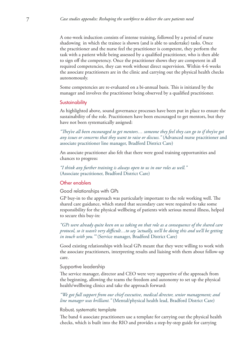A one-week induction consists of intense training, followed by a period of nurse shadowing in which the trainee is shown (and is able to undertake) tasks. Once the practitioner and the nurse feel the practitioner is competent, they perform the task with a patient while being assessed by a qualified practitioner, who is then able to sign off the competency. Once the practitioner shows they are competent in all required competencies, they can work without direct supervision. Within 4-6 weeks the associate practitioners are in the clinic and carrying out the physical health checks autonomously.

Some competencies are re-evaluated on a bi-annual basis. This is initiated by the manager and involves the practitioner being observed by a qualified practitioner.

#### **Sustainability**

As highlighted above, sound governance processes have been put in place to ensure the sustainability of the role. Practitioners have been encouraged to get mentors, but they have not been systematically assigned:

*"They've all been encouraged to get mentors… someone they feel they can go to if they've got any issues or concerns that they want to raise or discuss."* (Advanced nurse practitioner and associate practitioner line manager, Bradford District Care)

An associate practitioner also felt that there were good training opportunities and chances to progress:

*"I think any further training is always open to us in our roles as well."*  (Associate practitioner, Bradford District Care)

#### Other enablers

Good relationships with GPs

GP buy-in to the approach was particularly important to the role working well. The shared care guidance, which stated that secondary care were required to take some responsibility for the physical wellbeing of patients with serious mental illness, helped to secure this buy-in:

*"GPs were already quite keen on us taking on that role as a consequence of the shared care protocol, so it wasn't very difficult…to say 'actually, we'll be doing this and we'll be getting in touch with you.'"* (Service manager, Bradford District Care)

Good existing relationships with local GPs meant that they were willing to work with the associate practitioners, interpreting results and liaising with them about follow-up care.

#### Supportive leadership

The service manager, director and CEO were very supportive of the approach from the beginning, allowing the teams the freedom and autonomy to set up the physical health/wellbeing clinics and take the approach forward:

*"We got full support from our chief executive, medical director, senior management; and line manager was brilliant."* (Mental/physical health lead, Bradford District Care)

#### Robust, systematic template

The band 4 associate practitioners use a template for carrying out the physical health checks, which is built into the RIO and provides a step-by-step guide for carrying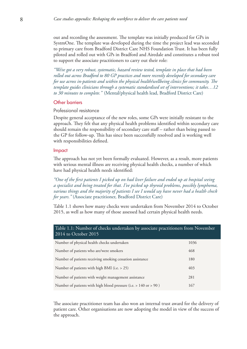out and recording the assessment. The template was initially produced for GPs in SystmOne. The template was developed during the time the project lead was seconded to primary care from Bradford District Care NHS Foundation Trust. It has been fully piloted and rolled out with GPs in Bradford and Airedale and constitutes a robust tool to support the associate practitioners to carry out their role:

*"We've got a very robust, systematic, hazard review tested, template in place that had been rolled out across Bradford to 80 GP practices and more recently developed for secondary care for use across in-patients and within the physical health/wellbeing clinics for community. The template guides clinicians through a systematic standardised set of interventions; it takes…12 to 30 minutes to complete."* (Mental/physical health lead, Bradford District Care)

#### Other barriers

#### Professional resistance

Despite general acceptance of the new roles, some GPs were initially resistant to the approach. They felt that any physical health problems identified within secondary care should remain the responsibility of secondary care staff – rather than being passed to the GP for follow-up. This has since been successfully resolved and is working well with responsibilities defined.

#### Impact

The approach has not yet been formally evaluated. However, as a result, more patients with serious mental illness are receiving physical health checks, a number of which have had physical health needs identified:

*"One of the first patients I picked up on had liver failure and ended up at hospital seeing a specialist and being treated for that. I've picked up thyroid problems, possibly lymphoma, various things and the majority of patients I see I would say have never had a health check for years."* (Associate practitioner, Bradford District Care)

Table 1.1 shows how many checks were undertaken from November 2014 to October 2015, as well as how many of those assessed had certain physical health needs.

| Table 1.1: Number of checks undertaken by associate practitioners from November<br>2014 to October 2015 |      |  |
|---------------------------------------------------------------------------------------------------------|------|--|
| Number of physical health checks undertaken                                                             | 1036 |  |
| 468<br>Number of patients who are/were smokers                                                          |      |  |
| Number of patients receiving smoking cessation assistance<br>180                                        |      |  |
| Number of patients with high BMI (i.e. $> 25$ )<br>403                                                  |      |  |
| Number of patients with weight management assistance<br>281                                             |      |  |
| Number of patients with high blood pressure (i.e. > 140 or > 90)<br>167                                 |      |  |

The associate practitioner team has also won an internal trust award for the delivery of patient care. Other organisations are now adopting the model in view of the success of the approach.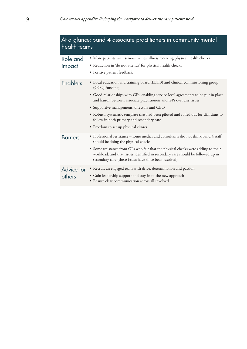| At a glance: band 4 associate practitioners in community mental<br>health teams |                                                                                                                                                                                                                                |  |
|---------------------------------------------------------------------------------|--------------------------------------------------------------------------------------------------------------------------------------------------------------------------------------------------------------------------------|--|
| Role and                                                                        | • More patients with serious mental illness receiving physical health checks<br>• Reduction in 'do not attends' for physical health checks                                                                                     |  |
| impact                                                                          | • Positive patient feedback                                                                                                                                                                                                    |  |
| <b>Enablers</b>                                                                 | • Local education and training board (LETB) and clinical commissioning group<br>(CCG) funding                                                                                                                                  |  |
|                                                                                 | • Good relationships with GPs, enabling service-level agreements to be put in place<br>and liaison between associate practitioners and GPs over any issues                                                                     |  |
|                                                                                 | • Supportive management, directors and CEO                                                                                                                                                                                     |  |
|                                                                                 | • Robust, systematic template that had been piloted and rolled out for clinicians to<br>follow in both primary and secondary care                                                                                              |  |
|                                                                                 | • Freedom to set up physical clinics                                                                                                                                                                                           |  |
| <b>Barriers</b>                                                                 | • Professional resistance – some medics and consultants did not think band 4 staff<br>should be doing the physical checks                                                                                                      |  |
|                                                                                 | • Some resistance from GPs who felt that the physical checks were adding to their<br>workload, and that issues identified in secondary care should be followed up in<br>secondary care (these issues have since been resolved) |  |
| Advice for<br>others                                                            | • Recruit an engaged team with drive, determination and passion<br>• Gain leadership support and buy-in to the new approach<br>· Ensure clear communication across all involved                                                |  |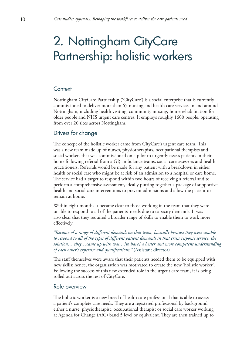# <span id="page-9-0"></span>2. Nottingham CityCare Partnership: holistic workers

# **Context**

Nottingham CityCare Partnership ('CityCare') is a social enterprise that is currently commissioned to deliver more than 65 nursing and health care services in and around Nottingham, including health visiting, community nursing, home rehabilitation for older people and NHS urgent care centres. It employs roughly 1600 people, operating from over 26 sites across Nottingham.

# Drivers for change

The concept of the holistic worker came from CityCare's urgent care team. This was a new team made up of nurses, physiotherapists, occupational therapists and social workers that was commissioned on a pilot to urgently assess patients in their home following referral from a GP, ambulance teams, social care assessors and health practitioners. Referrals would be made for any patient with a breakdown in either health or social care who might be at risk of an admission to a hospital or care home. The service had a target to respond within two hours of receiving a referral and to perform a comprehensive assessment, ideally putting together a package of supportive health and social care interventions to prevent admissions and allow the patient to remain at home.

Within eight months it became clear to those working in the team that they were unable to respond to all of the patients' needs due to capacity demands. It was also clear that they required a broader range of skills to enable them to work more effectively:

*"Because of a range of different demands on that team, basically because they were unable to respond to all of the types of different patient demands in that crisis response service, the solution… they…came up with was…[to have] a better and more competent understanding of each other's expertise and qualifications."* (Assistant director)

The staff themselves were aware that their patients needed them to be equipped with new skills; hence, the organisation was motivated to create the new 'holistic worker'. Following the success of this new extended role in the urgent care team, it is being rolled out across the rest of CityCare.

#### Role overview

The holistic worker is a new breed of health care professional that is able to assess a patient's complete care needs. They are a registered professional by background – either a nurse, physiotherapist, occupational therapist or social care worker working at Agenda for Change (AfC) band 5 level or equivalent. They are then trained up to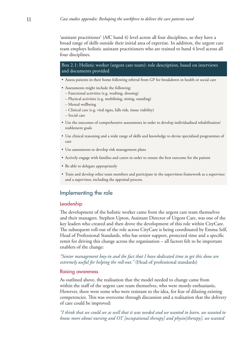'assistant practitioner' (AfC band 4) level across all four disciplines, so they have a broad range of skills outside their initial area of expertise. In addition, the urgent care team employs holistic assistant practitioners who are trained to band 4 level across all four disciplines.

Box 2.1: Holistic worker (urgent care team): role description, based on interviews and documents provided

- Assess patients in their home following referral from GP for breakdown in health or social care
- Assessments might include the following:
	- Functional activities (e.g. washing, dressing)
	- Physical activities (e.g. mobilising, sitting, standing)
	- Mental wellbeing
	- Clinical care (e.g. vital signs, falls risk, tissue viability)
	- Social care
- Use the outcomes of comprehensive assessments in order to develop individualised rehabilitation/ reablement goals
- Use clinical reasoning and a wide range of skills and knowledge to devise specialised programmes of care
- Use assessments to develop risk management plans
- Actively engage with families and carers in order to ensure the best outcome for the patient
- Be able to delegate appropriately
- Train and develop other team members and participate in the supervision framework as a supervisee and a supervisor, including the appraisal process.

# Implementing the role

#### Leadership

The development of the holistic worker came from the urgent care team themselves and their managers. Stephen Upton, Assistant Director of Urgent Care, was one of the key leaders who created and then drove the development of this role within CityCare. The subsequent roll-out of the role across CityCare is being coordinated by Emma Self, Head of Professional Standards, who has senior support, protected time and a specific remit for driving this change across the organisation – all factors felt to be important enablers of the change:

*"Senior management buy-in and the fact that I have dedicated time to get this done are extremely useful for helping the roll-out."* (Head of professional standards)

#### Raising awareness

As outlined above, the realisation that the model needed to change came from within the staff of the urgent care team themselves, who were mostly enthusiastic. However, there were some who were resistant to the idea, for fear of diluting existing competencies. This was overcome through discussion and a realisation that the delivery of care could be improved:

*"I think that we could see as well that it was needed and we wanted to learn, we wanted to know more about nursing and OT [occupational therapy] and physio[therapy]; we wanted*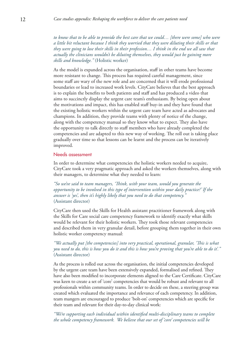*to know that to be able to provide the best care that we could… [there were some] who were a little bit reluctant because I think they worried that they were diluting their skills or that they were going to lose their skills in their profession… I think in the end we all saw that actually the clinicians wouldn't be diluting themselves, they would just be gaining more skills and knowledge."* (Holistic worker)

As the model is expanded across the organisation, staff in other teams have become more resistant to change. This process has required careful management, since some staff are wary of the new role and are concerned that it will erode professional boundaries or lead to increased work levels. CityCare believes that the best approach is to explain the benefits to both patients and staff and has produced a video that aims to succinctly display the urgent care team's enthusiasm. By being open about the motivations and impact, this has enabled staff buy-in and they have found that the existing holistic workers within the urgent care team have acted as advocates and champions. In addition, they provide teams with plenty of notice of the change, along with the competency manual so they know what to expect. They also have the opportunity to talk directly to staff members who have already completed the competencies and are adapted to this new way of working. The roll out is taking place gradually over time so that lessons can be learnt and the process can be iteratively improved.

#### Needs assessment

In order to determine what competencies the holistic workers needed to acquire, CityCare took a very pragmatic approach and asked the workers themselves, along with their managers, to determine what they needed to learn:

*"So we've said to team managers, 'Think, with your team, would you generate the opportunity to be involved in this type of intervention within your daily practice?' If the answer is 'yes', then it's highly likely that you need to do that competency."*  (Assistant director)

CityCare then used the Skills for Health assistant practitioner framework along with the Skills for Care social care competency framework to identify exactly what skills would be relevant for their holistic workers. They took those relevant competencies and described them in very granular detail, before grouping them together in their own holistic worker competency manual:

# *"We actually put [the competencies] into very practical, operational, granular, 'This is what you need to do, this is how you do it and this is how you're proving that you're able to do it'."*  (Assistant director)

As the process is rolled out across the organisation, the initial competencies developed by the urgent care team have been extensively expanded, formalised and refined. They have also been modified to incorporate elements aligned to the Care Certificate. CityCare was keen to create a set of 'core' competencies that would be robust and relevant to all professionals within community teams. In order to decide on these, a steering group was created which evaluated the importance and relevance of each competency. In addition, team mangers are encouraged to produce 'bolt-on' competencies which are specific for their team and relevant for their day-to-day clinical work:

*"We're supporting each individual within identified multi-disciplinary teams to complete the whole competency framework. We believe that our set of 'core' competencies will be*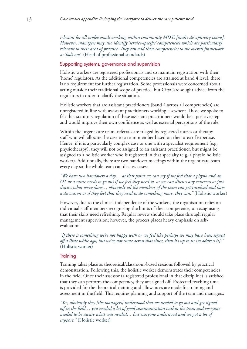*relevant for all professionals working within community MDTs [multi-disciplinary teams]. However, managers may also identify 'service-specific' competencies which are particularly relevant to their area of practice. They can add these competencies to the overall framework as 'bolt-ons'.* (Head of professional standards)

#### Supporting systems, governance and supervision

Holistic workers are registered professionals and so maintain registration with their 'home' regulators. As the additional competencies are attained at band 4 level, there is no requirement for further registration. Some professionals were concerned about acting outside their traditional scope of practice, but CityCare sought advice from the regulators in order to clarify the situation.

Holistic workers that are assistant practitioners (band 4 across all competencies) are unregistered in line with assistant practitioners working elsewhere. Those we spoke to felt that statutory regulation of these assistant practitioners would be a positive step and would improve their own confidence as well as external perceptions of the role.

Within the urgent care team, referrals are triaged by registered nurses or therapy staff who will allocate the case to a team member based on their area of expertise. Hence, if it is a particularly complex case or one with a specialist requirement (e.g. physiotherapy), they will not be assigned to an assistant practitioner, but might be assigned to a holistic worker who is registered in that specialty (e.g. a physio holistic worker). Additionally, there are two handover meetings within the urgent care team every day so the whole team can discuss cases:

*"We have two handovers a day… at that point we can say if we feel that a physio and an OT or a nurse needs to go out if we feel they need to, or we can discuss any concerns or just discuss what we've done… obviously all the members of the team can get involved and have a discussion or if they feel that they need to do something more, they can."* (Holistic worker)

However, due to the clinical independence of the workers, the organisation relies on individual staff members recognising the limits of their competence, or recognising that their skills need refreshing. Regular review should take place through regular management supervision; however, the process places heavy emphasis on selfevaluation.

*"If there is something we're not happy with or we feel like perhaps we may have been signed off a little while ago, but we've not come across that since, then it's up to us [to address it]."*  (Holistic worker)

#### **Training**

Training takes place as theoretical/classroom-based sessions followed by practical demonstration. Following this, the holistic worker demonstrates their competencies in the field. Once their assessor (a registered professional in that discipline) is satisfied that they can perform the competency, they are signed off. Protected teaching time is provided for the theoretical training and allowances are made for training and assessment in the field. This requires planning and support of the team and managers:

*"Yes, obviously they [the managers] understood that we needed to go out and get signed off in the field… you needed a lot of good communication within the team and everyone needed to be aware what was needed… but everyone understood and we got a lot of support."* (Holistic worker)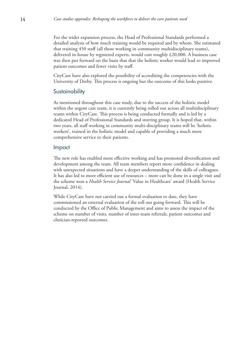For the wider expansion process, the Head of Professional Standards performed a detailed analysis of how much training would be required and by whom. She estimated that training 450 staff (all those working in community multidisciplinary teams), delivered in-house by registered experts, would cost roughly £20,000. A business case was then put forward on the basis that that the holistic worker would lead to improved patient outcomes and fewer visits by staff.

CityCare have also explored the possibility of accrediting the competencies with the University of Derby. This process is ongoing but the outcome of this looks positive.

# **Sustainability**

As mentioned throughout this case study, due to the success of the holistic model within the urgent care team, it is currently being rolled out across all multidisciplinary teams within CityCare. This process is being conducted formally and is led by a dedicated Head of Professional Standards and steering group. It is hoped that, within two years, all staff working in community multi-disciplinary teams will be 'holistic workers', trained in the holistic model and capable of providing a much more comprehensive service to their patients.

# Impact

The new role has enabled more effective working and has promoted diversification and development among the team. All team members report more confidence in dealing with unexpected situations and have a deeper understanding of the skills of colleagues. It has also led to more efficient use of resources – more can be done in a single visit and the scheme won a *Health Service Journal* 'Value in Healthcare' award (Health Service Journal, 2014).

While CityCare have not carried out a formal evaluation to date, they have commissioned an external evaluation of the roll out going forward. This will be conducted by the Office of Public Management and aims to assess the impact of the scheme on number of visits, number of inter-team referrals, patient outcomes and clinician-reported outcomes.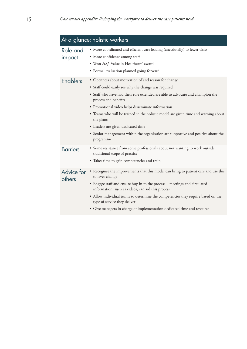| At a glance: holistic workers |                                                                                                                                                                                                                                                                                                                                                                                                                                                                                                                        |  |
|-------------------------------|------------------------------------------------------------------------------------------------------------------------------------------------------------------------------------------------------------------------------------------------------------------------------------------------------------------------------------------------------------------------------------------------------------------------------------------------------------------------------------------------------------------------|--|
| Role and<br>impact            | • More coordinated and efficient care leading (anecdotally) to fewer visits<br>• More confidence among staff<br>· Won HSJ 'Value in Healthcare' award<br>• Formal evaluation planned going forward                                                                                                                                                                                                                                                                                                                     |  |
| <b>Enablers</b>               | • Openness about motivation of and reason for change<br>• Staff could easily see why the change was required<br>• Staff who have had their role extended are able to advocate and champion the<br>process and benefits<br>· Promotional video helps disseminate information<br>• Teams who will be trained in the holistic model are given time and warning about<br>the plans<br>• Leaders are given dedicated time<br>• Senior management within the organisation are supportive and positive about the<br>programme |  |
| <b>Barriers</b>               | • Some resistance from some professionals about not wanting to work outside<br>traditional scope of practice<br>• Takes time to gain competencies and train                                                                                                                                                                                                                                                                                                                                                            |  |
| Advice for<br>others          | • Recognise the improvements that this model can bring to patient care and use this<br>to lever change<br>• Engage staff and ensure buy-in to the process – meetings and circulated<br>information, such as videos, can aid this process<br>• Allow individual teams to determine the competencies they require based on the<br>type of service they deliver<br>• Give managers in charge of implementation dedicated time and resource                                                                                |  |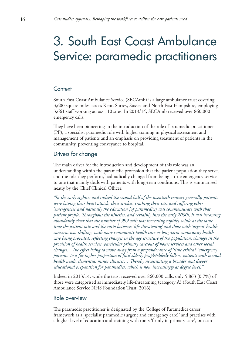# <span id="page-15-0"></span>3. South East Coast Ambulance Service: paramedic practitioners

# **Context**

South East Coast Ambulance Service (SECAmb) is a large ambulance trust covering 3,600 square miles across Kent, Surrey, Sussex and North East Hampshire, employing 3,661 staff working across 110 sites. In 2013/14, SECAmb received over 860,000 emergency calls.

They have been pioneering in the introduction of the role of paramedic practitioner (PP), a specialist paramedic role with higher training in physical assessment and management of patients and an emphasis on providing treatment of patients in the community, preventing conveyance to hospital.

# Drivers for change

The main driver for the introduction and development of this role was an understanding within the paramedic profession that the patient population they serve, and the role they perform, had radically changed from being a true emergency service to one that mainly deals with patients with long-term conditions. This is summarised neatly by the Chief Clinical Officer:

*"In the early eighties and indeed the second half of the twentieth century generally, patients were having their heart attack, their strokes, crashing their cars and suffering other 'emergencies' and naturally the education [of paramedics] was commensurate with that patient profile. Throughout the nineties, and certainly into the early 2000s, it was becoming abundantly clear that the number of 999 calls was increasing rapidly, while at the same time the patient mix and the ratio between 'life-threatening' and those with 'urgent' health concerns was shifting, with more community health care or long-term community health care being provided, reflecting changes in the age structure of the population, changes in the provision of health services, particular primary care/out of hours services and other social changes... The effect being to move away from a preponderance of 'time critical' 'emergency' patients to a far higher proportion of frail elderly people/elderly fallers, patients with mental health needs, dementia, minor illnesses… Thereby necessitating a broader and deeper educational preparation for paramedics, which is now increasingly at degree level."*

Indeed in 2013/14, while the trust received over 860,000 calls, only 5,863 (0.7%) of those were categorised as immediately life-threatening (category A) (South East Coast Ambulance Service NHS Foundation Trust, 2016).

### Role overview

The paramedic practitioner is designated by the College of Paramedics career framework as a 'specialist paramedic (urgent and emergency care)' and practises with a higher level of education and training with roots 'firmly in primary care', but can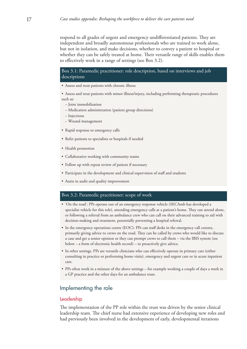respond to all grades of urgent and emergency undifferentiated patients. They are independent and broadly autonomous professionals who are trained to work alone, but not in isolation, and make decisions, whether to convey a patient to hospital or whether they can be safely treated at home. Their versatile range of skills enables them to effectively work in a range of settings (see Box 3.2).

#### Box 3.1: Paramedic practitioner: role description, based on interviews and job descriptions

• Assess and treat patients with chronic illness

• Assess and treat patients with minor illness/injury, including performing therapeutic procedures such as:

- Joint immobilisation
- Medication administration (patient group directions)
- Injections
- Wound management
- Rapid response to emergency calls
- Refer patients to specialists or hospitals if needed
- Health promotion
- Collaborative working with community teams
- Follow up with repeat review of patient if necessary
- Participate in the development and clinical supervision of staff and students
- Assist in audit and quality improvement

#### Box 3.2: Paramedic practitioner: scope of work

- 'On the road': PPs operate out of an emergency response vehicle (SECAmb has developed a specialist vehicle for this role), attending emergency calls at a patient's home. They can attend alone, or following a referral from an ambulance crew who can call on their advanced training to aid with decision-making and treatment, potentially preventing a hospital referral.
- In the emergency operations centre (EOC): PPs can staff desks in the emergency call centres, primarily giving advice to crews on the road. They can be called by crews who would like to discuss a case and get a senior opinion or they can prompt crews to call them – via the IBIS system (see below – a form of electronic health record) – to proactively give advice.
- In other settings. PPs are versatile clinicians who can effectively operate in primary care (either consulting in practice or performing home visits), emergency and urgent care or in acute inpatient care.
- PPs often work in a mixture of the above settings for example working a couple of days a week in a GP practice and the other days for an ambulance trust.

# Implementing the role

#### Leadership

The implementation of the PP role within the trust was driven by the senior clinical leadership team. The chief nurse had extensive experience of developing new roles and had previously been involved in the development of early, developmental iterations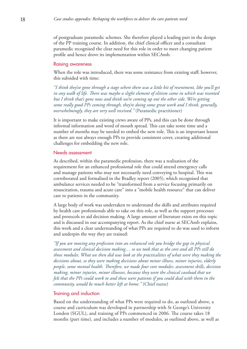of postgraduate paramedic schemes. She therefore played a leading part in the design of the PP training course. In addition, the chief clinical officer and a consultant paramedic recognised the clear need for this role in order to meet changing patient profile and hence drove its implementation within SECAmb.

#### Raising awareness

When the role was introduced, there was some resistance from existing staff; however, this subsided with time:

*"I think they've gone through a stage where there was a little bit of resentment, like you'll get in any walk of life. There was maybe a slight element of elitism came in which was resented but I think that's gone now and think we're coming up out the other side. We're getting some really good PPs coming through, they're doing some great work and I think, generally, overwhelmingly, they are very well received."* (Paramedic practitioner)

It is important to make existing crews aware of PPs, and this can be done through informal information and word of mouth spread. This can take some time and a number of months may be needed to embed the new role. This is an important lesson as there are not always enough PPs to provide consistent cover, creating additional challenges for embedding the new role.

#### Needs assessment

As described, within the paramedic profession, there was a realisation of the requirement for an enhanced professional role that could attend emergency calls and manage patients who may not necessarily need conveying to hospital. This was corroborated and formalised in the Bradley report (2005), which recognised that ambulance services needed to be "transformed from a service focusing primarily on resuscitation, trauma and acute care" into a "mobile health resource" that can deliver care to patients in the community.

A large body of work was undertaken to understand the skills and attributes required by health care professionals able to take on this role, as well as the support processes and protocols to aid decision making. A large amount of literature exists on this topic and is discussed in our accompanying report. As the chief nurse at SECAmb explains, this work and a clear understanding of what PPs are required to do was used to inform and underpin the way they are trained:

*"If you are moving any profession into an enhanced role you bridge the gap in physical assessment and clinical decision making… so we took that as the core and all PPs still do those modules. What we then did was look at the practicalities of what were they making the decisions about, so they were making decisions about minor illness, minor injuries, elderly people, some mental health. Therefore, we made four core modules: assessment skills, decision making, minor injuries, minor illnesses, because they were the clinical caseload that we felt that the PPs could work to and these were patients if you could deal with them in the community, would be much better left at home."* (Chief nurse)

#### Training and induction

Based on the understanding of what PPs were required to do, as outlined above, a course and curriculum was developed in partnership with St George's University London (SGUL), and training of PPs commenced in 2006. The course takes 18 months (part time), and includes a number of modules, as outlined above, as well as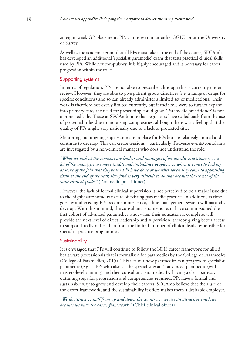an eight-week GP placement. PPs can now train at either SGUL or at the University of Surrey.

As well as the academic exam that all PPs must take at the end of the course, SECAmb has developed an additional 'specialist paramedic' exam that tests practical clinical skills used by PPs. While not compulsory, it is highly encouraged and is necessary for career progression within the trust.

#### Supporting systems

In terms of regulation, PPs are not able to prescribe, although this is currently under review. However, they are able to give patient group directives (i.e. a range of drugs for specific conditions) and so can already administer a limited set of medications. Their work is therefore not overly limited currently, but if their role were to further expand into primary care, the need for prescribing could grow. 'Paramedic practitioner' is not a protected title. Those at SECAmb note that regulators have scaled back from the use of protected titles due to increasing complexities, although there was a feeling that the quality of PPs might vary nationally due to a lack of protected title.

Mentoring and ongoing supervision are in place for PPs but are relatively limited and continue to develop. This can create tensions – particularly if adverse events/complaints are investigated by a non-clinical manager who does not understand the role:

*"What we lack at the moment are leaders and managers of paramedic practitioners… a lot of the managers are more traditional ambulance people… so when it comes to looking at some of the jobs that they've the PPs have done or whether when they come to appraising them at the end of the year, they find it very difficult to do that because they're not of the same clinical grade."* (Paramedic practitioner)

However, the lack of formal clinical supervision is not perceived to be a major issue due to the highly autonomous nature of existing paramedic practice. In addition, as time goes by and existing PPs become more senior, a line management system will naturally develop. With this in mind, the consultant paramedic team have commissioned the first cohort of advanced paramedics who, when their education is complete, will provide the next level of direct leadership and supervision, thereby giving better access to support locally rather than from the limited number of clinical leads responsible for specialist practice programmes.

#### **Sustainability**

It is envisaged that PPs will continue to follow the NHS career framework for allied healthcare professionals that is formalised for paramedics by the College of Paramedics (College of Paramedics, 2015). This sets out how paramedics can progress to specialist paramedic (e.g. as PPs who also sit the specialist exam), advanced paramedic (with masters-level training) and then consultant paramedic. By having a clear pathway outlining steps for progression and competencies required, PPs have a formal and sustainable way to grow and develop their careers. SECAmb believe that their use of the career framework, and the sustainability it offers makes them a desirable employer.

*"We do attract… staff from up and down the country… we are an attractive employer because we have the career framework."* (Chief clinical officer)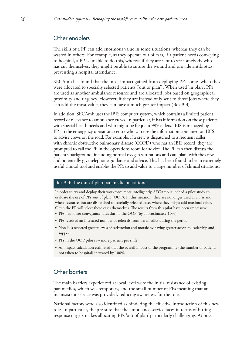# Other enablers

The skills of a PP can add enormous value in some situations, whereas they can be wasted in others. For example, as they operate out of cars, if a patient needs conveying to hospital, a PP is unable to do this, whereas if they are sent to see somebody who has cut themselves, they might be able to suture the wound and provide antibiotics, preventing a hospital attendance.

SECAmb has found that the most impact gained from deploying PPs comes when they were allocated to specially selected patients ('out of plan'). When used 'in plan', PPs are used as another ambulance resource and are allocated jobs based on geographical proximity and urgency. However, if they are instead only sent to those jobs where they can add the most value, they can have a much greater impact (Box 3.3).

In addition, SECAmb uses the IBIS computer system, which contains a limited patient record of relevance to ambulance crews. In particular, it has information on those patients with special health needs and who might be frequent 999 callers. IBIS is managed by PPs in the emergency operations centre who can use the information contained on IBIS to advise crews on the road. For example, if a crew is dispatched to a frequent caller with chronic obstructive pulmonary disease (COPD) who has an IBIS record, they are prompted to call the PP in the operations room for advice. The PP can then discuss the patient's background, including normal oxygen saturations and care plan, with the crew and potentially give telephone guidance and advice. This has been found to be an extremely useful clinical tool and enables the PPs to add value to a large number of clinical situations.

#### Box 3.3: The out-of-plan paramedic practitioner

In order to try and deploy their workforce more intelligently, SECAmb launched a pilot study to evaluate the use of PPs 'out of plan' (OOP). In this situation, they are no longer used as an 'as and when' resource, but are dispatched to carefully selected cases where they might add maximal value. Often the PP will select these cases themselves. The results from this pilot have been impressive:

- PPs had lower conveyance rates during the OOP (by approximately 10%)
- PPs received an increased number of referrals from paramedics during the period
- Non-PPs reported greater levels of satisfaction and morale by having greater access to leadership and support
- PPs in the OOP pilot saw more patients per shift
- An impact calculation estimated that the overall impact of the programme (the number of patients not taken to hospital) increased by 100%.

# Other barriers

The main barriers experienced at local level were the initial resistance of existing paramedics, which was temporary, and the small number of PPs meaning that an inconsistent service was provided, reducing awareness for the role.

National factors were also identified as hindering the effective introduction of this new role. In particular, the pressure that the ambulance service faces in terms of hitting response targets makes allocating PPs 'out of plan' particularly challenging. At busy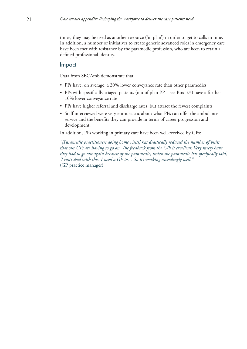times, they may be used as another resource ('in plan') in order to get to calls in time. In addition, a number of initiatives to create generic advanced roles in emergency care have been met with resistance by the paramedic profession, who are keen to retain a defined professional identity.

# Impact

Data from SECAmb demonstrate that:

- PPs have, on average, a 20% lower conveyance rate than other paramedics
- PPs with specifically triaged patients (out of plan PP see Box 3.3) have a further 10% lower conveyance rate
- PPs have higher referral and discharge rates, but attract the fewest complaints
- Staff interviewed were very enthusiastic about what PPs can offer the ambulance service and the benefits they can provide in terms of career progression and development.

In addition, PPs working in primary care have been well-received by GPs:

*"[Paramedic practitioners doing home visits] has drastically reduced the number of visits that our GPs are having to go on. The feedback from the GPs is excellent. Very rarely have they had to go out again because of the paramedic, unless the paramedic has specifically said, 'I can't deal with this. I need a GP to… So it's working exceedingly well."*  (GP practice manager)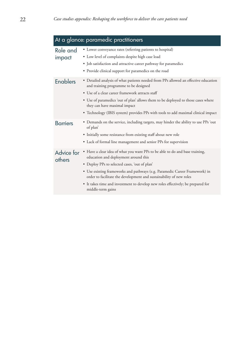| At a glance: paramedic practitioners |                                                                                                                                                                                                                                                                                                                                                                                                                                      |  |
|--------------------------------------|--------------------------------------------------------------------------------------------------------------------------------------------------------------------------------------------------------------------------------------------------------------------------------------------------------------------------------------------------------------------------------------------------------------------------------------|--|
| Role and<br>impact                   | • Lower conveyance rates (referring patients to hospital)<br>• Low level of complaints despite high case load<br>• Job satisfaction and attractive career pathway for paramedics<br>• Provide clinical support for paramedics on the road                                                                                                                                                                                            |  |
| <b>Enablers</b>                      | • Detailed analysis of what patients needed from PPs allowed an effective education<br>and training programme to be designed<br>• Use of a clear career framework attracts staff<br>• Use of paramedics 'out of plan' allows them to be deployed to those cases where<br>they can have maximal impact<br>• Technology (IBIS system) provides PPs with tools to add maximal clinical impact                                           |  |
| <b>Barriers</b>                      | • Demands on the service, including targets, may hinder the ability to use PPs 'out<br>of plan'<br>· Initially some resistance from existing staff about new role<br>• Lack of formal line management and senior PPs for supervision                                                                                                                                                                                                 |  |
| Advice for<br>others                 | • Have a clear idea of what you want PPs to be able to do and base training,<br>education and deployment around this<br>• Deploy PPs to selected cases, 'out of plan'<br>• Use existing frameworks and pathways (e.g. Paramedic Career Framework) in<br>order to facilitate the development and sustainability of new roles<br>• It takes time and investment to develop new roles effectively; be prepared for<br>middle-term gains |  |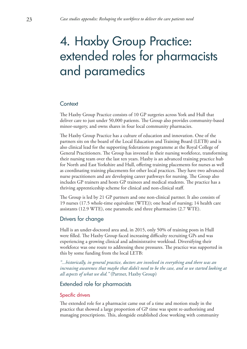# <span id="page-22-0"></span>4. Haxby Group Practice: extended roles for pharmacists and paramedics

# Context

The Haxby Group Practice consists of 10 GP surgeries across York and Hull that deliver care to just under 50,000 patients. The Group also provides community-based minor-surgery, and owns shares in four local community pharmacies.

The Haxby Group Practice has a culture of education and innovation. One of the partners sits on the board of the Local Education and Training Board (LETB) and is also clinical lead for the supporting federations programme at the Royal College of General Practitioners. The Group has invested in their nursing workforce, transforming their nursing team over the last ten years. Haxby is an advanced training practice hub for North and East Yorkshire and Hull, offering training placements for nurses as well as coordinating training placements for other local practices. They have two advanced nurse practitioners and are developing career pathways for nursing. The Group also includes GP trainers and hosts GP trainees and medical students. The practice has a thriving apprenticeship scheme for clinical and non-clinical staff.

The Group is led by 21 GP partners and one non-clinical partner. It also consists of 19 nurses (17.5 whole-time equivalent (WTE)); one head of nursing; 14 health care assistants (12.9 WTE), one paramedic and three pharmacists (2.7 WTE).

# Drivers for change

Hull is an under-doctored area and, in 2015, only 50% of training posts in Hull were filled. The Haxby Group faced increasing difficulty recruiting GPs and was experiencing a growing clinical and administrative workload. Diversifying their workforce was one route to addressing these pressures. The practice was supported in this by some funding from the local LETB:

*"...historically, in general practice, doctors are involved in everything and there was an increasing awareness that maybe that didn't need to be the case, and so we started looking at all aspects of what we did."* (Partner, Haxby Group)

### Extended role for pharmacists

#### Specific drivers

The extended role for a pharmacist came out of a time and motion study in the practice that showed a large proportion of GP time was spent re-authorising and managing prescriptions. This, alongside established close working with community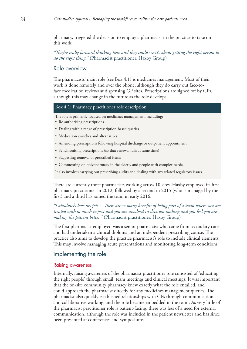pharmacy, triggered the decision to employ a pharmacist in the practice to take on this work:

*"They're really forward thinking here and they could see it's about getting the right person to do the right thing."* (Pharmacist practitioner, Haxby Group)

# Role overview

The pharmacists' main role (see Box 4.1) is medicines management. Most of their work is done remotely and over the phone, although they do carry out face-toface medication reviews at dispensing GP sites. Prescriptions are signed off by GPs, although this may change in the future as the role develops.

#### Box 4.1: Pharmacy practitioner role description

The role is primarily focused on medicines management, including:

- Re-authorising prescriptions
- Dealing with a range of prescription-based queries
- Medication switches and alternatives
- Amending prescriptions following hospital discharge or outpatient appointment
- Synchronising prescriptions (so that renewal falls at same time)
- Suggesting removal of prescribed items
- Commenting on polypharmacy in the elderly and people with complex needs.

It also involves carrying out prescribing audits and dealing with any related regulatory issues.

There are currently three pharmacists working across 10 sites. Haxby employed its first pharmacy practitioner in 2012, followed by a second in 2015 (who is managed by the first) and a third has joined the team in early 2016.

### *"I absolutely love my job… There are so many benefits of being part of a team where you are treated with so much respect and you are involved in decision making and you feel you are making the patient better."* (Pharmacist practitioner, Haxby Group)

The first pharmacist employed was a senior pharmacist who came from secondary care and had undertaken a clinical diploma and an independent prescribing course. The practice also aims to develop the practice pharmacist's role to include clinical elements. This may involve managing acute presentations and monitoring long-term conditions.

# Implementing the role

#### Raising awareness

Internally, raising awareness of the pharmacist practitioner role consisted of 'educating the right people' through email, team meetings and clinical meetings. It was important that the on-site community pharmacy knew exactly what the role entailed, and could approach the pharmacist directly for any medicines management queries. The pharmacist also quickly established relationships with GPs through communication and collaborative working, and the role became embedded in the team. As very little of the pharmacist practitioner role is patient-facing, there was less of a need for external communication, although the role was included in the patient newsletter and has since been presented at conferences and symposiums.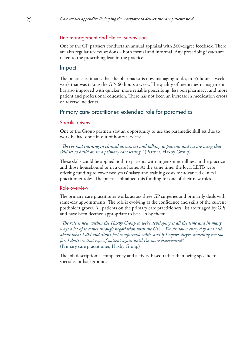#### Line management and clinical supervision

One of the GP partners conducts an annual appraisal with 360-degree feedback. There are also regular review sessions – both formal and informal. Any prescribing issues are taken to the prescribing lead in the practice.

#### Impact

The practice estimates that the pharmacist is now managing to do, in 35 hours a week, work that was taking the GPs 60 hours a week. The quality of medicines management has also improved with quicker, more reliable prescribing; less polypharmacy; and more patient and professional education. There has not been an increase in medication errors or adverse incidents.

#### Primary care practitioner: extended role for paramedics

#### Specific drivers

One of the Group partners saw an opportunity to use the paramedic skill set due to work he had done in out of hours services:

# *"They've had training in clinical assessment and talking to patients and we are using that skill set to build on in a primary care setting."* (Partner, Haxby Group)

These skills could be applied both to patients with urgent/minor illness in the practice and those housebound or in a care home. At the same time, the local LETB were offering funding to cover two years' salary and training costs for advanced clinical practitioner roles. The practice obtained this funding for one of their new roles.

#### Role overview

The primary care practitioner works across three GP surgeries and primarily deals with same-day appointments. The role is evolving as the confidence and skills of the current postholder grows. All patients on the primary care practitioners' list are triaged by GPs and have been deemed appropriate to be seen by them:

*"The role is new within the Haxby Group so we're developing it all the time and in many ways a lot of it comes through negotiation with the GPs…We sit down every day and talk about what I did and didn't feel comfortable with, and if I report they're stretching me too far, I don't see that type of patient again until I'm more experienced"*  (Primary care practitioner, Haxby Group)

The job description is competency and activity-based rather than being specific to specialty or background.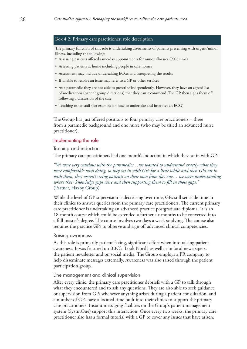#### Box 4.2: Primary care practitioner: role description

The primary function of this role is undertaking assessments of patients presenting with urgent/minor illness, including the following:

- Assessing patients offered same-day appointments for minor illnesses (90% time)
- Assessing patients at home including people in care homes
- Assessment may include undertaking ECGs and interpreting the results
- If unable to resolve an issue may refer to a GP or other services
- As a paramedic they are not able to prescribe independently. However, they have an agreed list of medications (patient group directions) that they can recommend. The GP then signs them off following a discussion of the case
- Teaching other staff (for example on how to undertake and interpret an ECG).

The Group has just offered positions to four primary care practitioners – three from a paramedic background and one nurse (who may be titled an advanced nurse practitioner).

#### Implementing the role

Training and induction

The primary care practitioners had one month's induction in which they sat in with GPs.

*"We were very cautious with the paramedics…we wanted to understand exactly what they were comfortable with doing, so they sat in with GPs for a little while and then GPs sat in with them, they weren't seeing patients on their own from day one… we were understanding where their knowledge gaps were and then supporting them to fill in those gaps."*  (Partner, Haxby Group)

While the level of GP supervision is decreasing over time, GPs still set aside time in their clinics to answer queries from the primary care practitioners. The current primary care practitioner is undertaking an advanced practice postgraduate diploma. It is an 18-month course which could be extended a further six months to be converted into a full master's degree. The course involves two days a week studying. The course also requires the practice GPs to observe and sign off advanced clinical competencies.

#### Raising awareness

As this role is primarily patient-facing, significant effort when into raising patient awareness. It was featured on BBC's 'Look North' as well as in local newspapers, the patient newsletter and on social media. The Group employs a PR company to help disseminate messages externally. Awareness was also raised through the patient participation group.

#### Line management and clinical supervision

After every clinic, the primary care practitioner debriefs with a GP to talk through what they encountered and to ask any questions. They are also able to seek guidance or supervision from GPs whenever anything arises during a patient consultation, and a number of GPs have allocated time built into their clinics to support the primary care practitioners. Instant messaging facilities on the Group's patient management system (SystmOne) support this interaction. Once every two weeks, the primary care practitioner also has a formal tutorial with a GP to cover any issues that have arisen.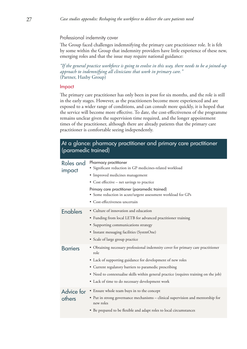#### Professional indemnity cover

The Group faced challenges indemnifying the primary care practitioner role. It is felt by some within the Group that indemnity providers have little experience of these new, emerging roles and that the issue may require national guidance:

*"If the general practice workforce is going to evolve in this way, there needs to be a joined-up approach to indemnifying all clinicians that work in primary care."*  (Partner, Haxby Group)

#### Impact

The primary care practitioner has only been in post for six months, and the role is still in the early stages. However, as the practitioners become more experienced and are exposed to a wider range of conditions, and can consult more quickly, it is hoped that the service will become more effective. To date, the cost-effectiveness of the programme remains unclear given the supervision time required, and the longer appointment times of the practitioner, although there are already patients that the primary care practitioner is comfortable seeing independently.

| At a glance: pharmacy practitioner and primary care practitioner<br>(paramedic trained) |                                                                                                                                                                                                                                                                                                                                                              |  |
|-----------------------------------------------------------------------------------------|--------------------------------------------------------------------------------------------------------------------------------------------------------------------------------------------------------------------------------------------------------------------------------------------------------------------------------------------------------------|--|
| Roles and<br>impact                                                                     | Pharmacy practitioner<br>· Significant reduction in GP medicines-related workload<br>• Improved medicines management<br>• Cost effective – net savings to practice<br>Primary care practitioner (paramedic trained)<br>• Some reduction in acute/urgent assessment workload for GPs<br>• Cost-effectiveness uncertain                                        |  |
| <b>Enablers</b>                                                                         | • Culture of innovation and education<br>• Funding from local LETB for advanced practitioner training<br>• Supporting communications strategy<br>• Instant messaging facilities (SystmOne)<br>• Scale of large group practice                                                                                                                                |  |
| <b>Barriers</b>                                                                         | • Obtaining necessary professional indemnity cover for primary care practitioner<br>role<br>• Lack of supporting guidance for development of new roles<br>• Current regulatory barriers to paramedic prescribing<br>• Need to contextualise skills within general practice (requires training on the job)<br>• Lack of time to do necessary development work |  |
| Advice for<br>others                                                                    | • Ensure whole team buys in to the concept<br>• Put in strong governance mechanisms – clinical supervision and mentorship for<br>new roles<br>• Be prepared to be flexible and adapt roles to local circumstances                                                                                                                                            |  |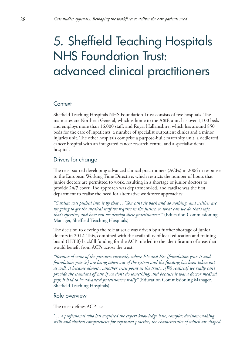# <span id="page-27-0"></span>5. Sheffield Teaching Hospitals NHS Foundation Trust: advanced clinical practitioners

### **Context**

Sheffield Teaching Hospitals NHS Foundation Trust consists of five hospitals. The main sites are Northern General, which is home to the A&E unit, has over 1,100 beds and employs more than 16,000 staff; and Royal Hallamshire, which has around 850 beds for the care of inpatients, a number of specialist outpatient clinics and a minor injuries unit. The other hospitals comprise a purpose-built maternity unit, a dedicated cancer hospital with an integrated cancer research centre, and a specialist dental hospital.

# Drivers for change

The trust started developing advanced clinical practitioners (ACPs) in 2006 in response to the European Working Time Directive, which restricts the number of hours that junior doctors are permitted to work, resulting in a shortage of junior doctors to provide 24/7 cover. The approach was department-led, and cardiac was the first department to realise the need for alternative workforce approaches:

*"Cardiac was pushed into it by that… 'You can't sit back and do nothing, and neither are we going to get the medical staff we require in the future, so what can we do that's safe, that's effective, and how can we develop these practitioners?'"* (Education Commissioning Manager, Sheffield Teaching Hospitals)

The decision to develop the role at scale was driven by a further shortage of junior doctors in 2012. This, combined with the availability of local education and training board (LETB) backfill funding for the ACP role led to the identification of areas that would benefit from ACPs across the trust:

*"Because of some of the pressures currently, where F1s and F2s [foundation year 1s and foundation year 2s] are being taken out of the system and the funding has been taken out as well, it became almost…another crisis point in the trust…[We realised] we really can't provide the standard of care if we don't do something, and because it was a doctor medical gap; it had to be advanced practitioners really"* (Education Commissioning Manager, Sheffield Teaching Hospitals)

# Role overview

The trust defines ACPs as:

*'… a professional who has acquired the expert knowledge base, complex decision-making skills and clinical competencies for expanded practice, the characteristics of which are shaped*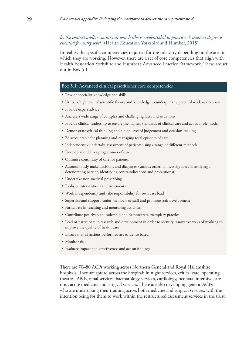### *by the context and/or country in which s/he is credentialed to practice. A master's degree is essential for entry level.'* (Health Education Yorkshire and Humber, 2015)

In reality, the specific competencies required for the role vary depending on the area in which they are working. However, there are a set of core competencies that align with Health Education Yorkshire and Humber's Advanced Practice Framework. These are set out in Box 5.1.

#### Box 5.1: Advanced clinical practitioner core competencies

- Provide specialist knowledge and skills
- Utilise a high level of scientific theory and knowledge to underpin any practical work undertaken
- Provide expert advice
- Analyse a wide range of complex and challenging facts and situations
- Provide clinical leadership to ensure the highest standards of clinical care and act as a role model
- Demonstrate critical thinking and a high level of judgement and decision-making
- Be accountable for planning and managing total episodes of care
- Independently undertake assessment of patients using a range of different methods
- Develop and deliver programmes of care
- Optimise continuity of care for patients
- Autonomously make decisions and diagnoses (such as ordering investigations, identifying a deteriorating patient, identifying contraindications and precautions)
- Undertake non-medical prescribing
- Evaluate interventions and treatments
- Work independently and take responsibility for own case load
- Supervise and support junior members of staff and promote staff development
- Participate in teaching and mentoring activities
- Contribute positively to leadership and demonstrate exemplary practice
- Lead or participate in research and development in order to identify innovative ways of working to improve the quality of health care
- Ensure that all actions performed are evidence based
- Monitor risk
- Evaluate impact and effectiveness and act on findings

There are 70–80 ACPs working across Northern General and Royal Hallamshire hospitals. They are spread across the hospitals in night services, critical care, operating theatres, A&E, renal services, haematology services, cardiology, neonatal intensive care unit, acute medicine and surgical services. There are also developing generic ACPs who are undertaking their training across both medicine and surgical services, with the intention being for them to work within the restructured assessment services in the trust.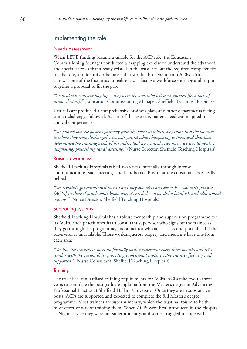# Implementing the role

#### Needs assessment

When LETB funding became available for the ACP role, the Education Commissioning Manager conducted a mapping exercise to understand the advanced and specialist roles that already existed in the trust, set out the required competencies for the role, and identify other areas that would also benefit from ACPs. Critical care was one of the first areas to realise it was facing a workforce shortage and to put together a proposal to fill the gap:

*"Critical care was our flagship…they were the ones who felt most affected [by a lack of junior doctors]."* (Education Commissioning Manager, Sheffield Teaching Hospitals)

Critical care produced a comprehensive business plan, and other departments facing similar challenges followed. As part of this exercise, patient need was mapped to clinical competencies.

*"We plotted out the patient pathway from the point at which they came into the hospital to where they were discharged…we categorised what's happening to them and that then determined the training needs of the individual we wanted…we knew we would need… diagnosing, prescribing [and] assessing."* (Nurse Director, Sheffield Teaching Hospitals)

#### Raising awareness

Sheffield Teaching Hospitals raised awareness internally through intense communications, staff meetings and handbooks. Buy-in at the consultant level really helped:

*"We certainly got consultants' buy-in and they owned it and drove it…you can't just put [ACPs] in there if people don't know why it's needed…so we did a lot of PR and educational sessions."* (Nurse Director, Sheffield Teaching Hospitals)

#### Supporting systems

Sheffield Teaching Hospitals has a robust mentorship and supervision programme for its ACPs. Each practitioner has a consultant supervisor who signs off the trainee as they go through the programme, and a mentor who acts as a second port of call if the supervisor is unavailable. Those working across surgery and medicine have one from each area:

*"We like the trainees to meet up formally with a supervisor every three months and [it's] similar with the person that's providing professional support…the trainees feel very well supported."* (Nurse Consultant, Sheffield Teaching Hospitals)

#### **Training**

The trust has standardised training requirements for ACPs. ACPs take two to three years to complete the postgraduate diploma from the Master's degree in Advancing Professional Practice at Sheffield Hallam University. Once they are in substantive posts, ACPs are supported and expected to complete the full Master's degree programme. Most trainees are supernumerary, which the trust has found to be the most effective way of training them. When ACPs were first introduced in the Hospital at Night service they were not supernumerary, and some struggled to cope with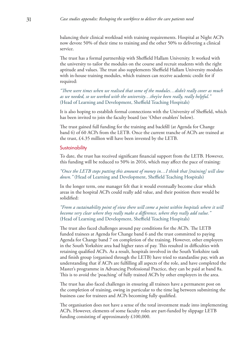balancing their clinical workload with training requirements. Hospital at Night ACPs now devote 50% of their time to training and the other 50% to delivering a clinical service.

The trust has a formal partnership with Sheffield Hallam University. It worked with the university to tailor the modules on the course and recruit students with the right aptitude and values. The trust also supplements Sheffield Hallam University modules with in-house training modules, which trainees can receive academic credit for if required:

*"There were times when we realised that some of the modules…didn't really cover as much as we needed, so we worked with the university…they've been really, really helpful."*  (Head of Learning and Development, Sheffield Teaching Hospitals)

It is also hoping to establish formal connections with the University of Sheffield, which has been invited to join the faculty board (see 'Other enablers' below).

The trust gained full funding for the training and backfill (at Agenda for Change band 6) of 60 ACPs from the LETB. Once the current tranche of ACPs are trained at the trust, £4.35 million will have been invested by the LETB.

#### **Sustainability**

To date, the trust has received significant financial support from the LETB. However, this funding will be reduced to 50% in 2016, which may affect the pace of training:

*"Once the LETB stops putting this amount of money in…I think that [training] will slow down."* (Head of Learning and Development, Sheffield Teaching Hospitals)

In the longer term, one manager felt that it would eventually become clear which areas in the hospital ACPs could really add value, and their position there would be solidified:

*"From a sustainability point of view there will come a point within hospitals where it will become very clear where they really make a difference, where they really add value."*  (Head of Learning and Development, Sheffield Teaching Hospitals)

The trust also faced challenges around pay conditions for the ACPs. The LETB funded trainees at Agenda for Change band 6 and the trust committed to paying Agenda for Change band 7 on completion of the training. However, other employers in the South Yorkshire area had higher rates of pay. This resulted in difficulties with retaining qualified ACPs. As a result, hospitals involved in the South Yorkshire task and finish group (organised through the LETB) have tried to standardise pay, with an understanding that if ACPs are fulfilling all aspects of the role, and have completed the Master's programme in Advancing Professional Practice, they can be paid at band 8a. This is to avoid the 'poaching' of fully trained ACPs by other employers in the area.

The trust has also faced challenges in ensuring all trainees have a permanent post on the completion of training, owing in particular to the time lag between submitting the business case for trainees and ACPs becoming fully qualified.

The organisation does not have a sense of the total investment made into implementing ACPs. However, elements of some faculty roles are part-funded by slippage LETB funding consisting of approximately £100,000.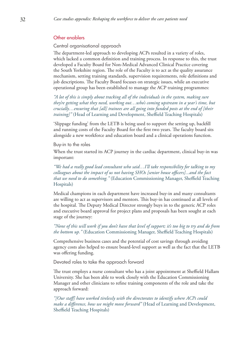### Other enablers

Central organisational approach

The department-led approach to developing ACPs resulted in a variety of roles, which lacked a common definition and training process. In response to this, the trust developed a Faculty Board for Non-Medical Advanced Clinical Practice covering the South Yorkshire region. The role of the Faculty is to act as the quality assurance mechanism, setting training standards, supervision requirements, role definitions and job descriptions. The Faculty Board focuses on strategic issues, while an executive operational group has been established to manage the ACP training programmes:

*"A lot of this is simply about tracking all of the individuals in the system, making sure they're getting what they need, working out…who's coming upstream in a year's time, but crucially…ensuring that [all] trainees are all going into funded posts at the end of [their training]"* (Head of Learning and Development, Sheffield Teaching Hospitals)

'Slippage funding' from the LETB is being used to support the setting up, backfill and running costs of the Faculty Board for the first two years. The faculty board sits alongside a new workforce and education board and a clinical operations function.

#### Buy-in to the roles

When the trust started its ACP journey in the cardiac department, clinical buy-in was important:

*"We had a really good lead consultant who said…I'll take responsibility for talking to my colleagues about the impact of us not having SHOs [senior house officers]...and the fact that we need to do something."* (Education Commissioning Manager, Sheffield Teaching Hospitals)

Medical champions in each department have increased buy-in and many consultants are willing to act as supervisors and mentors. This buy-in has continued at all levels of the hospital. The Deputy Medical Director strongly buys in to the generic ACP roles and executive board approval for project plans and proposals has been sought at each stage of the journey:

*"None of this will work if you don't have that level of support; it's too big to try and do from the bottom up."* (Education Commissioning Manager, Sheffield Teaching Hospitals)

Comprehensive business cases and the potential of cost savings through avoiding agency costs also helped to ensure board-level support as well as the fact that the LETB was offering funding.

Devoted roles to take the approach forward

The trust employs a nurse consultant who has a joint appointment at Sheffield Hallam University. She has been able to work closely with the Education Commissioning Manager and other clinicians to refine training components of the role and take the approach forward:

*"[Our staff] have worked tirelessly with the directorates to identify where ACPs could make a difference, how we might move forward"* (Head of Learning and Development, Sheffield Teaching Hospitals)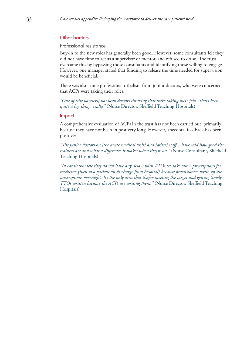# Other barriers

#### Professional resistance

Buy-in to the new roles has generally been good. However, some consultants felt they did not have time to act as a supervisor or mentor, and refused to do so. The trust overcame this by bypassing those consultants and identifying those willing to engage. However, one manager stated that funding to release the time needed for supervision would be beneficial.

There was also some professional tribalism from junior doctors, who were concerned that ACPs were taking their roles:

*"One of [the barriers] has been doctors thinking that we're taking their jobs. That's been quite a big thing, really."* (Nurse Director, Sheffield Teaching Hospitals)

#### Impact

A comprehensive evaluation of ACPs in the trust has not been carried out, primarily because they have not been in post very long. However, anecdotal feedback has been positive:

*"The junior doctors on [the acute medical unit] and [other] staff…have said how good the trainees are and what a difference it makes when they're on."* (Nurse Consultant, Sheffield Teaching Hospitals)

*"In cardiothoracic they do not have any delays with TTOs [to take out – prescriptions for medicine given to a patient on discharge from hospital] because practitioners write up the prescriptions overnight. It's the only area that they're meeting the target and getting timely TTOs written because the ACPs are writing them."* (Nurse Director, Sheffield Teaching Hospitals)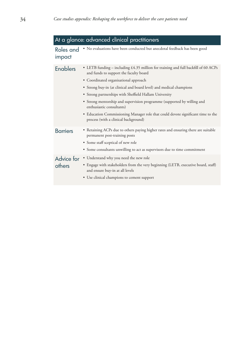# At a glance: advanced clinical practitioners

Roles and • No evaluations have been conducted but anecdotal feedback has been good impact

| <b>Enablers</b> | • LETB funding – including $\text{\pounds}4.35$ million for training and full backfill of 60 ACPs<br>and funds to support the faculty board |
|-----------------|---------------------------------------------------------------------------------------------------------------------------------------------|
|                 | • Coordinated organisational approach                                                                                                       |
|                 | • Strong buy-in (at clinical and board level) and medical champions                                                                         |
|                 | • Strong partnerships with Sheffield Hallam University                                                                                      |
|                 | • Strong mentorship and supervision programme (supported by willing and<br>enthusiastic consultants)                                        |
|                 | • Education Commissioning Manager role that could devote significant time to the<br>process (with a clinical background)                    |
| <b>Barriers</b> | • Retaining ACPs due to others paying higher rates and ensuring there are suitable<br>permanent post-training posts                         |
|                 | • Some staff sceptical of new role                                                                                                          |
|                 | • Some consultants unwilling to act as supervisors due to time commitment                                                                   |
| Advice for      | • Understand why you need the new role                                                                                                      |
| others          | • Engage with stakeholders from the very beginning (LETB, executive board, staff)<br>and ensure buy-in at all levels                        |
|                 | • Use clinical champions to cement support                                                                                                  |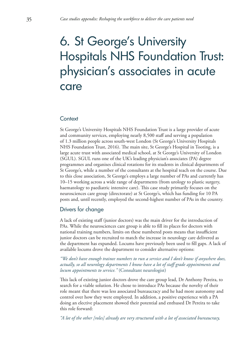# <span id="page-34-0"></span>6. St George's University Hospitals NHS Foundation Trust: physician's associates in acute care

# **Context**

St George's University Hospitals NHS Foundation Trust is a large provider of acute and community services, employing nearly 8,500 staff and serving a population of 1.3 million people across south-west London (St George's University Hospitals NHS Foundation Trust, 2016). The main site, St George's Hospital in Tooting, is a large acute trust with associated medical school, at St George's University of London (SGUL). SGUL runs one of the UK's leading physician's associates (PA) degree programmes and organises clinical rotations for its students in clinical departments of St George's, while a number of the consultants at the hospital teach on the course. Due to this close association, St George's employs a large number of PAs and currently has 10–15 working across a wide range of departments (from urology to plastic surgery, haematology to paediatric intensive care). This case study primarily focuses on the neurosciences care group (directorate) at St George's, which has funding for 10 PA posts and, until recently, employed the second-highest number of PAs in the country.

# Drivers for change

A lack of existing staff (junior doctors) was the main driver for the introduction of PAs. While the neurosciences care group is able to fill its places for doctors with national training numbers, limits on these numbered posts means that insufficient junior doctors can be recruited to match the increase in neurology care delivered as the department has expanded. Locums have previously been used to fill gaps. A lack of available locums drove the department to consider alternative options:

# *"We don't have enough trainee numbers to run a service and I don't know if anywhere does, actually, so all neurology departments I know have a lot of staff grade appointments and locum appointments to service."* (Consultant neurologist)

This lack of existing junior doctors drove the care group lead, Dr Anthony Pereira, to search for a viable solution. He chose to introduce PAs because the novelty of their role meant that there was less associated bureaucracy and he had more autonomy and control over how they were employed. In addition, a positive experience with a PA doing an elective placement showed their potential and enthused Dr Pereira to take this role forward:

*"A lot of the other [roles] already are very structured with a lot of associated bureaucracy,*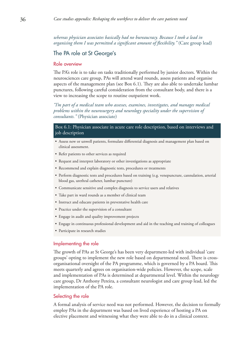*whereas physician associates basically had no bureaucracy. Because I took a lead in organising them I was permitted a significant amount of flexibility."* (Care group lead)

# The PA role at St George's

#### Role overview

The PA's role is to take on tasks traditionally performed by junior doctors. Within the neurosciences care group, PAs will attend ward rounds, assess patients and organise aspects of the management plan (see Box 6.1). They are also able to undertake lumbar punctures, following careful consideration from the consultant body, and there is a view to increasing the scope to routine outpatient work.

*"I'm part of a medical team who assesses, examines, investigates, and manages medical problems within the neurosurgery and neurology speciality under the supervision of consultants."* (Physician associate)

### Box 6.1: Physician associate in acute care role description, based on interviews and job description

- Assess new or unwell patients, formulate differential diagnosis and management plan based on clinical assessment.
- Refer patients to other services as required
- Request and interpret laboratory or other investigations as appropriate
- Recommend and explain diagnostic tests, procedures or treatments
- Perform diagnostic tests and procedures based on training (e.g. venepuncture, cannulation, arterial blood gas, urethral catheter, lumbar puncture)
- Communicate sensitive and complex diagnosis to service users and relatives
- Take part in ward rounds as a member of clinical team
- Instruct and educate patients in preventative health care
- Practice under the supervision of a consultant
- Engage in audit and quality improvement projects
- Engage in continuous professional development and aid in the teaching and training of colleagues
- Participate in research studies

#### Implementing the role

The growth of PAs at St George's has been very department-led with individual 'care groups' opting to implement the new role based on departmental need. There is crossorganisational oversight of the PA programme, which is governed by a PA board. This meets quarterly and agrees on organisation-wide policies. However, the scope, scale and implementation of PAs is determined at departmental level. Within the neurology care group, Dr Anthony Pereira, a consultant neurologist and care group lead, led the implementation of the PA role.

#### Selecting the role

A formal analysis of service need was not performed. However, the decision to formally employ PAs in the department was based on lived experience of hosting a PA on elective placement and witnessing what they were able to do in a clinical context.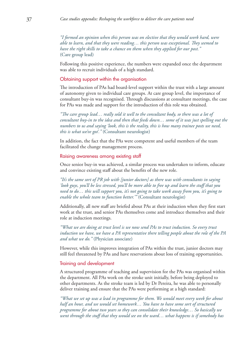*"I formed an opinion when this person was on elective that they would work hard, were able to learn, and that they were reading… this person was exceptional. They seemed to have the right skills to take a chance on them when they applied for our post."*  (Care group lead)

Following this positive experience, the numbers were expanded once the department was able to recruit individuals of a high standard.

#### Obtaining support within the organisation

The introduction of PAs had board-level support within the trust with a large amount of autonomy given to individual care groups. At care group level, the importance of consultant buy-in was recognised. Through discussions at consultant meetings, the case for PAs was made and support for the introduction of this role was obtained.

*"The care group lead… really sold it well to the consultant body, so there was a lot of consultant buy-in to the idea and then that feeds down… some of it was just spelling out the numbers to us and saying 'look, this is the reality, this is how many trainee posts we need, this is what we've got'."* (Consultant neurologist)

In addition, the fact that the PAs were competent and useful members of the team facilitated the change management process.

#### Raising awareness among existing staff

Once senior buy-in was achieved, a similar process was undertaken to inform, educate and convince existing staff about the benefits of the new role.

*"It's the same sort of PR job with [junior doctors] as there was with consultants in saying 'look guys, you'll be less stressed, you'll be more able to free up and learn the stuff that you need to do… this will support you, it's not going to take work away from you, it's going to enable the whole team to function better.'"* (Consultant neurologist)

Additionally, all new staff are briefed about PAs at their induction when they first start work at the trust, and senior PAs themselves come and introduce themselves and their role at induction meetings.

*"What we are doing at trust level is we now send PAs to trust induction. So every trust induction we have, we have a PA representative there telling people about the role of the PA and what we do."* (Physician associate)

However, while this improves integration of PAs within the trust, junior doctors may still feel threatened by PAs and have reservations about loss of training opportunities.

# Training and development

A structured programme of teaching and supervision for the PAs was organised within the department. All PAs work on the stroke unit initially, before being deployed to other departments. As the stroke team is led by Dr Pereira, he was able to personally deliver training and ensure that the PAs were performing at a high standard:

*"What we set up was a lead in programme for them. We would meet every week for about half an hour, and we would set homework… You have to have some sort of structured programme for about two years so they can consolidate their knowledge… So basically we went through the stuff that they would see on the ward… what happens is if somebody has*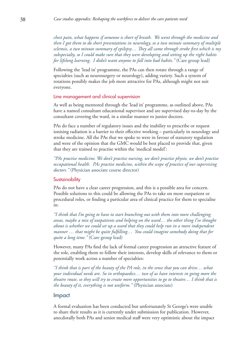*chest pain, what happens if someone is short of breath. We went through the medicine and then I got them to do short presentations in neurology, so a two minute summary of multiple sclerosis, a two minute summary of epilepsy… They all came through stroke first which is my subspecialty, so I could make sure that they were developing and setting up the right habits for lifelong learning. I didn't want anyone to fall into bad habits."* (Care group lead)

Following the 'lead in' programme, the PAs can then rotate through a range of specialties (such as neurosurgery or neurology), adding variety. Such a system of rotations possibly makes the job more attractive for PAs, although might not suit everyone.

#### Line management and clinical supervision

As well as being mentored through the 'lead in' programme, as outlined above, PAs have a named consultant educational supervisor and are supervised day-to-day by the consultant covering the ward, in a similar manner to junior doctors.

PAs do face a number of regulatory issues and the inability to prescribe or request ionising radiation is a barrier to their effective working – particularly in neurology and stroke medicine. All the PAs that we spoke to were in favour of statutory regulation and were of the opinion that the GMC would be best placed to provide that, given that they are trained to practise within the 'medical model':

*"PAs practise medicine. We don't practise nursing, we don't practise physio, we don't practise occupational health. PAs practise medicine, within the scope of practice of our supervising doctors."* (Physician associate course director)

#### **Sustainability**

PAs do not have a clear career progression, and this is a possible area for concern. Possible solutions to this could be allowing the PAs to take on more outpatient or procedural roles, or finding a particular area of clinical practice for them to specialise in:

*"I think that I'm going to have to start branching out with them into more challenging areas, maybe a mix of outpatients and helping on the ward… the other thing I've thought about is whether we could set up a ward that they could help run in a more independent manner … that might be quite fulfilling… You could imagine somebody doing that for quite a long time."* (Care group lead)

However, many PAs find the lack of formal career progression an attractive feature of the role, enabling them to follow their interests, develop skills of relevance to them or potentially work across a number of specialties:

*"I think that is part of the beauty of the PA role, in the sense that you can drive… what your individual needs are. So in orthopaedics… two of us have interests in going more the theatre route, so they will try to create more opportunities to go to theatre… I think that is the beauty of it, everything is not uniform."* (Physician associate)

#### Impact

A formal evaluation has been conducted but unfortunately St George's were unable to share their results as it is currently under submission for publication. However, anecdotally both PAs and senior medical staff were very optimistic about the impact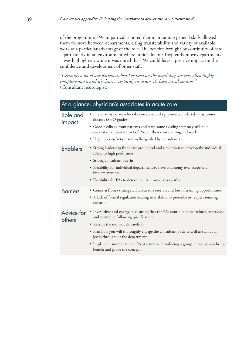of the programme. PAs in particular noted that maintaining general skills allowed them to move between departments, citing transferability and variety of available work as a particular advantage of the role. The benefits brought by continuity of care – particularly in an environment where junior doctors frequently move departments – was highlighted, while it was noted that PAs could have a positive impact on the confidence and development of other staff.

*"Certainly a lot of our patients when I've been on the ward they are very often highly complimentary, and it's clear… certainly in neuro, it's been a real positive."*  (Consultant neurologist)

| At a glance: physician's associates in acute care |                                                                                                                                                                                                                                                                                                                                                                                                                   |  |
|---------------------------------------------------|-------------------------------------------------------------------------------------------------------------------------------------------------------------------------------------------------------------------------------------------------------------------------------------------------------------------------------------------------------------------------------------------------------------------|--|
| Role and<br>impact                                | • Physician associate who takes on some tasks previously undertaken by junior<br>doctors (SHO grade)<br>• Good feedback from patients and staff, some existing staff may still hold<br>reservations about impact of PAs on their own training and work<br>• High job satisfaction and well-regarded by consultants                                                                                                |  |
| <b>Enablers</b>                                   | • Strong leadership from care group lead and time taken to develop the individual<br>PAs into high performers<br>• Strong consultant buy-in<br>• Flexibility for individual departments to have autonomy over scope and<br>implementation<br>• Flexibility for PAs to determine their own career paths                                                                                                            |  |
| <b>Barriers</b>                                   | • Concern from existing staff about role erosion and loss of training opportunities<br>• A lack of formal regulation leading to inability to prescribe or request ionising<br>radiation                                                                                                                                                                                                                           |  |
| Advice for<br>others                              | • Invest time and energy in ensuring that the PAs continue to be trained, supervised<br>and mentored following qualification<br>• Recruit the individuals carefully<br>. Plan how you will thoroughly engage the consultant body as well as staff at all<br>levels throughout the department<br>• Implement more than one PA at a time - introducing a group in one go can bring<br>benefit and prove the concept |  |
|                                                   |                                                                                                                                                                                                                                                                                                                                                                                                                   |  |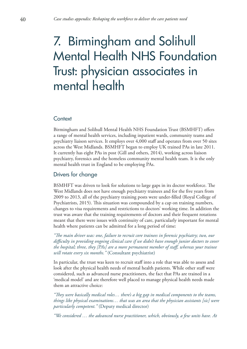# <span id="page-39-0"></span>7. Birmingham and Solihull Mental Health NHS Foundation Trust: physician associates in mental health

# **Context**

Birmingham and Solihull Mental Health NHS Foundation Trust (BSMHFT) offers a range of mental health services, including inpatient wards, community teams and psychiatry liaison services. It employs over 4,000 staff and operates from over 50 sites across the West Midlands. BSMHFT began to employ UK trained PAs in late 2011. It currently has eight PAs in post (Gill and others, 2014), working across liaison psychiatry, forensics and the homeless community mental health team. It is the only mental health trust in England to be employing PAs.

# Drivers for change

BSMHFT was driven to look for solutions to large gaps in its doctor workforce. The West Midlands does not have enough psychiatry trainees and for the five years from 2009 to 2013, all of the psychiatry training posts were under-filled (Royal College of Psychiatrists, 2015). This situation was compounded by a cap on training numbers, changes to visa requirements and restrictions to doctors' working time. In addition the trust was aware that the training requirements of doctors and their frequent rotations meant that there were issues with continuity of care, particularly important for mental health where patients can be admitted for a long period of time:

*"The main driver was: one, failure to recruit core trainees in forensic psychiatry; two, our difficulty in providing ongoing clinical care if we didn't have enough junior doctors to cover the hospital; three, they [PAs] are a more permanent member of staff, whereas your trainee will rotate every six months."* (Consultant psychiatrist)

In particular, the trust was keen to recruit staff into a role that was able to assess and look after the physical health needs of mental health patients. While other staff were considered, such as advanced nurse practitioners, the fact that PAs are trained in a 'medical model' and are therefore well placed to manage physical health needs made them an attractive choice:

*"They were basically medical roles… there's a big gap in medical components to the teams, things like physical examinations… that was an area that the physician assistants [sic] were particularly competent."* (Deputy medical director)

*"We considered … the advanced nurse practitioner, which, obviously, a few units have. At*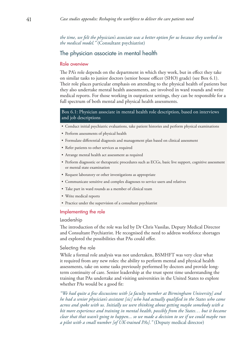*the time, we felt the physician's associate was a better option for us because they worked in the medical model."* (Consultant psychiatrist)

# The physician associate in mental health

#### Role overview

The PA's role depends on the department in which they work, but in effect they take on similar tasks to junior doctors (senior house officer (SHO) grade) (see Box 6.1). Their role places particular emphasis on attending to the physical health of patients but they also undertake mental health assessments, are involved in ward rounds and write medical reports. For those working in outpatient settings, they can be responsible for a full spectrum of both mental and physical health assessments.

### Box 6.1: Physician associate in mental health role description, based on interviews and job descriptions

- Conduct initial psychiatric evaluations, take patient histories and perform physical examinations
- Perform assessments of physical health
- Formulate differential diagnosis and management plan based on clinical assessment
- Refer patients to other services as required
- Arrange mental health act assessment as required
- Perform diagnostic or therapeutic procedures such as ECGs, basic live support, cognitive assessment or mental state examination
- Request laboratory or other investigations as appropriate
- Communicate sensitive and complex diagnoses to service users and relatives
- Take part in ward rounds as a member of clinical team
- Write medical reports
- Practice under the supervision of a consultant psychiatrist

#### Implementing the role

#### Leadership

The introduction of the role was led by Dr Chris Vassilas, Deputy Medical Director and Consultant Psychiatrist. He recognised the need to address workforce shortages and explored the possibilities that PAs could offer.

#### Selecting the role

While a formal role analysis was not undertaken, BSMHFT was very clear what it required from any new roles: the ability to perform mental and physical health assessments, take on some tasks previously performed by doctors and provide longterm continuity of care. Senior leadership at the trust spent time understanding the training that PAs undertake and visiting universities in the United States to explore whether PAs would be a good fit:

*"We had quite a few discussions with [a faculty member at Birmingham University] and he had a senior physician's assistant [sic] who had actually qualified in the States who came across and spoke with us. Initially we were thinking about getting maybe somebody with a bit more experience and training in mental health, possibly from the States… but it became clear that that wasn't going to happen... so we made a decision to see if we could maybe run a pilot with a small number [of UK-trained PAs]."* (Deputy medical director)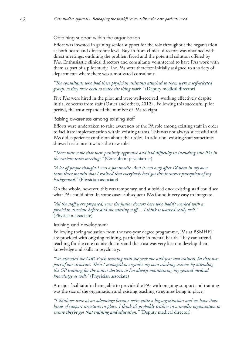#### Obtaining support within the organisation

Effort was invested in gaining senior support for the role throughout the organisation at both board and directorate level. Buy-in from clinical directors was obtained with direct meetings, outlining the problem faced and the potential solution offered by PAs. Enthusiastic clinical directors and consultants volunteered to have PAs work with them as part of a pilot study. The PAs were therefore initially assigned to a variety of departments where there was a motivated consultant:

*"The consultants who had these physician assistants attached to them were a self-selected group, so they were keen to make the thing work."* (Deputy medical director)

Five PAs were hired in the pilot and were well-received, working effectively despite initial concerns from staff (Ostler and others, 2012) . Following this successful pilot period, the trust expanded the number of PAs to eight.

Raising awareness among existing staff

Efforts were undertaken to raise awareness of the PA role among existing staff in order to facilitate implementation within existing teams. This was not always successful and PAs did experience confusion about their roles. In addition, existing staff sometimes showed resistance towards the new role:

*"There were some that were passively aggressive and had difficulty in including [the PA] in the various team meetings."* (Consultant psychiatrist)

*"A lot of people thought I was a paramedic. And it was only after I'd been in my own team three months that I realised that everybody had got this incorrect perception of my background."* (Physician associate)

On the whole, however, this was temporary, and subsided once existing staff could see what PAs could offer. In some cases, subsequent PAs found it very easy to integrate.

*"All the staff were prepared, even the junior doctors here who hadn't worked with a physician associate before and the nursing staff… I think it worked really well."*  (Physician associate)

#### Training and development

Following their graduation from the two-year degree programme, PAs at BSMHFT are provided with ongoing training, particularly in mental health. They can attend teaching for the core trainee doctors and the trust was very keen to develop their knowledge and skills in psychiatry:

*"We attended the MRCPsych training with the year one and year two trainees. So that was part of our structure. Then I managed to organise my own teaching sessions by attending the GP training for the junior doctors, so I'm always maintaining my general medical knowledge as well."* (Physician associate)

A major facilitator in being able to provide the PAs with ongoing support and training was the size of the organisation and existing teaching structures being in place:

*"I think we were at an advantage because we're quite a big organisation and we have those kinds of support structures in place. I think it's probably trickier in a smaller organisation to ensure they've got that training and education."* (Deputy medical director)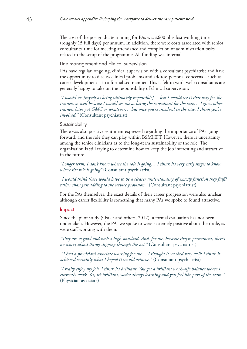The cost of the postgraduate training for PAs was £600 plus lost working time (roughly 15 full days) per annum. In addition, there were costs associated with senior consultants' time for meeting attendance and completion of administration tasks related to the setup of the programme. All funding was internal.

Line management and clinical supervision

PAs have regular, ongoing, clinical supervision with a consultant psychiatrist and have the opportunity to discuss clinical problems and address personal concerns – such as career development – in a formalised manner. This is felt to work well: consultants are generally happy to take on the responsibility of clinical supervision:

*"I would see [myself as being ultimately responsible]… but I would see it that way for the trainees as well because I would see me as being the consultant for the care… I guess other trainees have got GMC or whatever… but once you're involved in the case, I think you're involved."* (Consultant psychiatrist)

#### **Sustainability**

There was also positive sentiment expressed regarding the importance of PAs going forward, and the role they can play within BSMHFT. However, there is uncertainty among the senior clinicians as to the long-term sustainability of the role. The organisation is still trying to determine how to keep the job interesting and attractive in the future.

*"Longer term, I don't know where the role is going… I think it's very early stages to know where the role is going"* (Consultant psychiatrist)

*"I would think there would have to be a clearer understanding of exactly function they fulfil rather than just adding to the service provision.*" (Consultant psychiatrist)

For the PAs themselves, the exact details of their career progression were also unclear, although career flexibility is something that many PAs we spoke to found attractive.

#### Impact

Since the pilot study (Ostler and others, 2012), a formal evaluation has not been undertaken. However, the PAs we spoke to were extremely positive about their role, as were staff working with them:

*"They are so good and such a high standard. And, for me, because they're permanent, there's no worry about things slipping through the net."* (Consultant psychiatrist)

 *"I had a physician's associate working for me… I thought it worked very well; I think it achieved certainly what I hoped it would achieve."* (Consultant psychiatrist)

*"I really enjoy my job, I think it's brilliant. You get a brilliant work–life balance where I currently work. Yes, it's brilliant, you're always learning and you feel like part of the team."*  (Physician associate)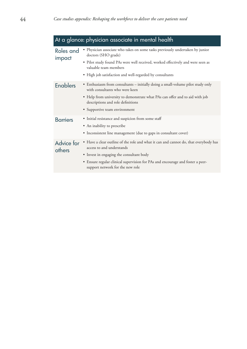| At a glance: physician associate in mental health |                                                                                                                                                                                                                                                                                     |  |
|---------------------------------------------------|-------------------------------------------------------------------------------------------------------------------------------------------------------------------------------------------------------------------------------------------------------------------------------------|--|
| Roles and<br>impact                               | • Physician associate who takes on some tasks previously undertaken by junior<br>doctors (SHO grade)<br>• Pilot study found PAs were well received, worked effectively and were seen as<br>valuable team members<br>• High job satisfaction and well-regarded by consultants        |  |
| <b>Enablers</b>                                   | • Enthusiasm from consultants – initially doing a small-volume pilot study only<br>with consultants who were keen<br>• Help from university to demonstrate what PAs can offer and to aid with job<br>descriptions and role definitions<br>• Supportive team environment             |  |
| <b>Barriers</b>                                   | • Initial resistance and suspicion from some staff<br>• An inability to prescribe<br>• Inconsistent line management (due to gaps in consultant cover)                                                                                                                               |  |
| Advice for<br>others                              | • Have a clear outline of the role and what it can and cannot do, that everybody has<br>access to and understands<br>• Invest in engaging the consultant body<br>• Ensure regular clinical supervision for PAs and encourage and foster a peer-<br>support network for the new role |  |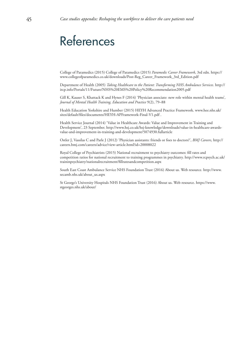# <span id="page-44-0"></span>References

College of Paramedics (2015) College of Paramedics (2015) *Paramedic Career Framework*, 3rd edn. https:// www.collegeofparamedics.co.uk/downloads/Post-Reg\_Career\_Framework\_3rd\_Edition.pdf

Department of Health (2005) *Taking Healthcare to the Patient: Transforming NHS Ambulance Services.* http:// ircp.info/Portals/11/Future/NHS%20EMS%20Policy%20Recommendation2005.pdf

Gill K, Kauser S, Khattack K and Hynes F (2014) 'Physician associate: new role within mental health teams', *Journal of Mental Health Training, Education and Practice* 9(2), 79–88

[Health Education Yorkshire and Humber \(2015\) HEYH Advanced Practice Framework. www.hee.nhs.uk/](www.hee.nhs.uk/sites/default/files/documents/HEYH-APFramework-Final-V1.pdf) sites/default/files/documents/HEYH-APFramework-Final-V1.pdf .

Health Service Journal (2014) 'Value in Healthcare Awards: Value and Improvement in Training and Development', 23 September. http://www.hsj.co.uk/hsj-knowledge/downloads/value-in-healthcare-awardsvalue-and-improvement-in-training-and-development/5074930.fullarticle

Ostler J, Vassilas C and Parle J (2012) 'Physician assistants: friends or foes to doctors?', *BMJ Careers,* http:// careers.bmj.com/careers/advice/view-article.html?id=20008022

Royal College of Psychiatrists (2015) National recruitment to psychiatry outcomes: fill rates and [competition ratios for national recruitment to training programmes in psychiatry. http://www.rcpsych.ac.uk/](http://www.rcpsych.ac.uk/traininpsychiatry/nationalrecruitment/fillratesandcompetition.aspx) traininpsychiatry/nationalrecruitment/fillratesandcompetition.aspx

[South East Coast Ambulance Service NHS Foundation Trust \(2016\) About us. Web resource. http://www.](http://www.secamb.nhs.uk/about_us.aspx) secamb.nhs.uk/about\_us.aspx

[St George's University Hospitals NHS Foundation Trust \(2016\) About us. Web resource. https://www.](https://www.stgeorges.nhs.uk/about/) stgeorges.nhs.uk/about/